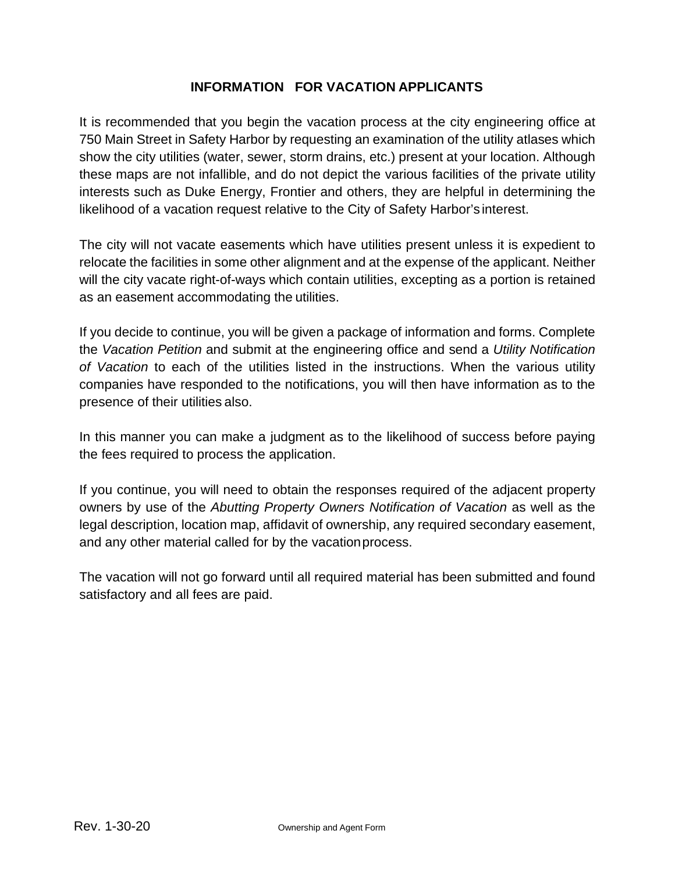### **INFORMATION FOR VACATION APPLICANTS**

It is recommended that you begin the vacation process at the city engineering office at 750 Main Street in Safety Harbor by requesting an examination of the utility atlases which show the city utilities (water, sewer, storm drains, etc.) present at your location. Although these maps are not infallible, and do not depict the various facilities of the private utility interests such as Duke Energy, Frontier and others, they are helpful in determining the likelihood of a vacation request relative to the City of Safety Harbor's interest.

The city will not vacate easements which have utilities present unless it is expedient to relocate the facilities in some other alignment and at the expense of the applicant. Neither will the city vacate right-of-ways which contain utilities, excepting as a portion is retained as an easement accommodating the utilities.

If you decide to continue, you will be given a package of information and forms. Complete the *Vacation Petition* and submit at the engineering office and send a *Utility Notification of Vacation* to each of the utilities listed in the instructions. When the various utility companies have responded to the notifications, you will then have information as to the presence of their utilities also.

In this manner you can make a judgment as to the likelihood of success before paying the fees required to process the application.

If you continue, you will need to obtain the responses required of the adjacent property owners by use of the *Abutting Property Owners Notification of Vacation* as well as the legal description, location map, affidavit of ownership, any required secondary easement, and any other material called for by the vacationprocess.

The vacation will not go forward until all required material has been submitted and found satisfactory and all fees are paid.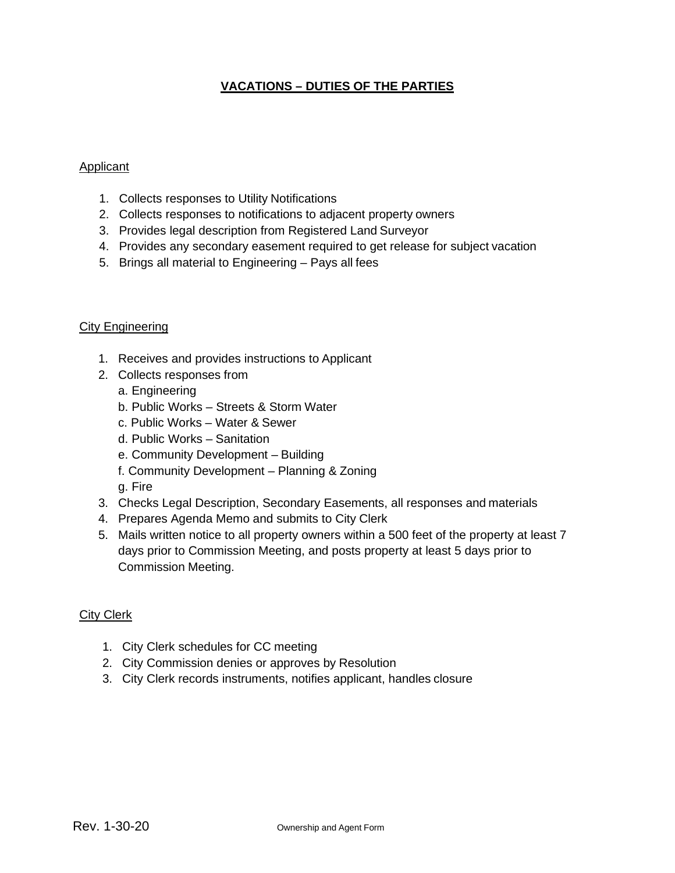#### **VACATIONS – DUTIES OF THE PARTIES**

#### Applicant

- 1. Collects responses to Utility Notifications
- 2. Collects responses to notifications to adjacent property owners
- 3. Provides legal description from Registered Land Surveyor
- 4. Provides any secondary easement required to get release for subject vacation
- 5. Brings all material to Engineering Pays all fees

#### City Engineering

- 1. Receives and provides instructions to Applicant
- 2. Collects responses from
	- a. Engineering
	- b. Public Works Streets & Storm Water
	- c. Public Works Water & Sewer
	- d. Public Works Sanitation
	- e. Community Development Building
	- f. Community Development Planning & Zoning
	- g. Fire
- 3. Checks Legal Description, Secondary Easements, all responses and materials
- 4. Prepares Agenda Memo and submits to City Clerk
- 5. Mails written notice to all property owners within a 500 feet of the property at least 7 days prior to Commission Meeting, and posts property at least 5 days prior to Commission Meeting.

#### City Clerk

- 1. City Clerk schedules for CC meeting
- 2. City Commission denies or approves by Resolution
- 3. City Clerk records instruments, notifies applicant, handles closure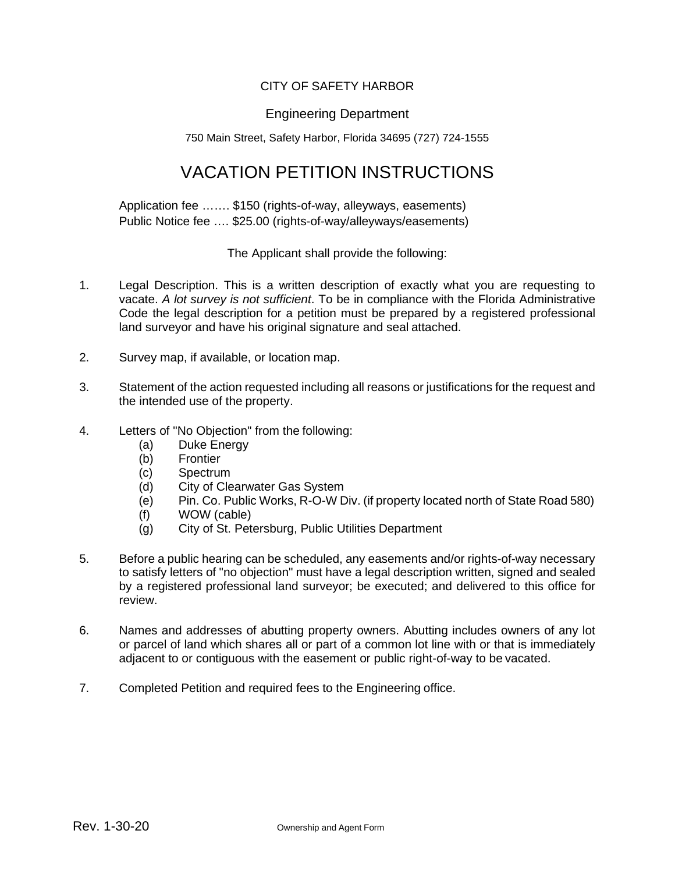#### CITY OF SAFETY HARBOR

#### Engineering Department

#### 750 Main Street, Safety Harbor, Florida 34695 (727) 724-1555

## VACATION PETITION INSTRUCTIONS

Application fee ……. \$150 (rights-of-way, alleyways, easements) Public Notice fee …. \$25.00 (rights-of-way/alleyways/easements)

The Applicant shall provide the following:

- 1. Legal Description. This is a written description of exactly what you are requesting to vacate. *A lot survey is not sufficient*. To be in compliance with the Florida Administrative Code the legal description for a petition must be prepared by a registered professional land surveyor and have his original signature and seal attached.
- 2. Survey map, if available, or location map.
- 3. Statement of the action requested including all reasons or justifications for the request and the intended use of the property.
- 4. Letters of "No Objection" from the following:
	- (a) Duke Energy
	- (b) Frontier
	- (c) Spectrum
	- (d) City of Clearwater Gas System
	- (e) Pin. Co. Public Works, R-O-W Div. (if property located north of State Road 580)
	- (f) WOW (cable)
	- (g) City of St. Petersburg, Public Utilities Department
- 5. Before a public hearing can be scheduled, any easements and/or rights-of-way necessary to satisfy letters of "no objection" must have a legal description written, signed and sealed by a registered professional land surveyor; be executed; and delivered to this office for review.
- 6. Names and addresses of abutting property owners. Abutting includes owners of any lot or parcel of land which shares all or part of a common lot line with or that is immediately adjacent to or contiguous with the easement or public right-of-way to be vacated.
- 7. Completed Petition and required fees to the Engineering office.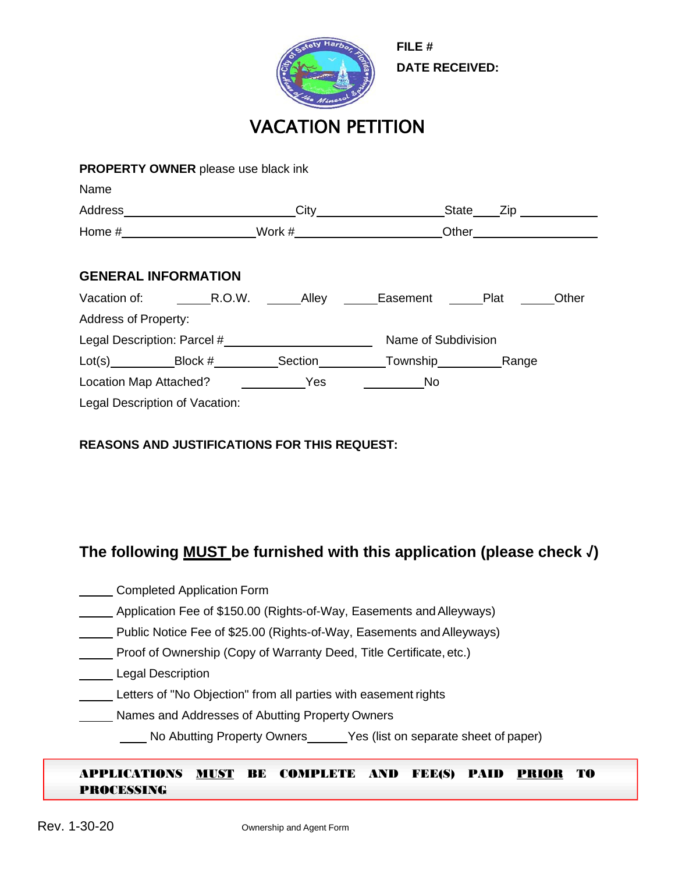

**FILE # DATE RECEIVED:**

# VACATION PETITION

#### **PROPERTY OWNER** please use black ink

| Name                           |                               |                             |           |       |
|--------------------------------|-------------------------------|-----------------------------|-----------|-------|
|                                |                               |                             | State Zip |       |
|                                | Home $\#$ Mork $\#$ Mork $\#$ |                             |           |       |
|                                |                               |                             |           |       |
| <b>GENERAL INFORMATION</b>     |                               |                             |           |       |
|                                |                               |                             |           | Other |
| <b>Address of Property:</b>    |                               |                             |           |       |
|                                |                               | Name of Subdivision         |           |       |
|                                |                               |                             |           |       |
|                                |                               | $\overline{\phantom{a}}$ No |           |       |
| Legal Description of Vacation: |                               |                             |           |       |

### **REASONS AND JUSTIFICATIONS FOR THIS REQUEST:**

### **The following MUST be furnished with this application (please check √)**

| <b>Completed Application Form</b>                                         |
|---------------------------------------------------------------------------|
| Application Fee of \$150.00 (Rights-of-Way, Easements and Alleyways)      |
| Public Notice Fee of \$25.00 (Rights-of-Way, Easements and Alleyways)     |
| Proof of Ownership (Copy of Warranty Deed, Title Certificate, etc.)       |
| <b>Legal Description</b>                                                  |
| Letters of "No Objection" from all parties with easement rights           |
| Names and Addresses of Abutting Property Owners                           |
| No Abutting Property Owners _______ Yes (list on separate sheet of paper) |

#### APPLICATIONS PROCESSING MUST BE COMPLETE AND FEE(S) PAID PRIOR TO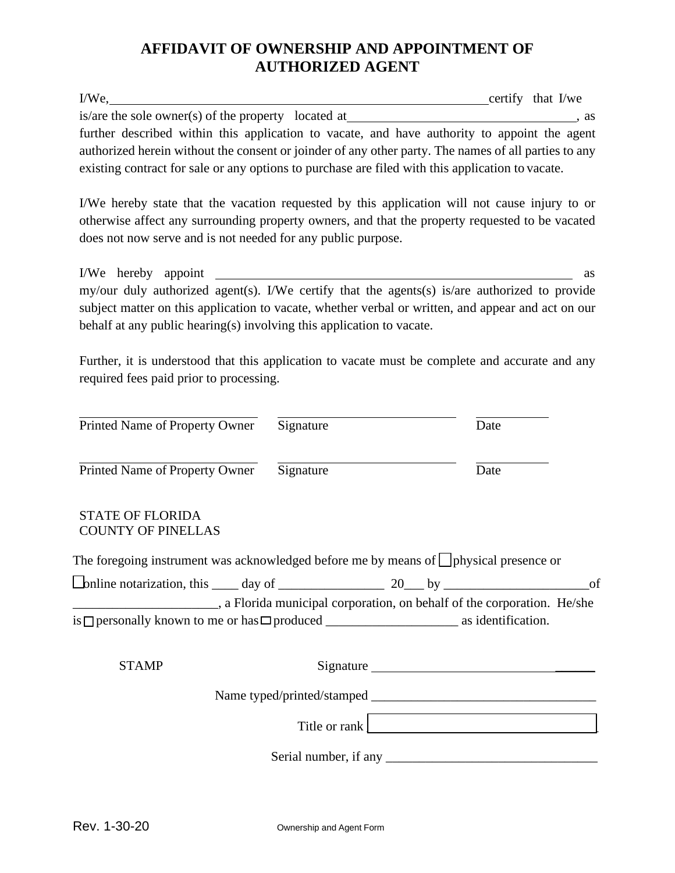### **AFFIDAVIT OF OWNERSHIP AND APPOINTMENT OF AUTHORIZED AGENT**

| $I/We$ .                                                                                             | certify that I/we |      |
|------------------------------------------------------------------------------------------------------|-------------------|------|
| is/are the sole owner(s) of the property located at                                                  |                   | . as |
| further described within this application to vacate, and have authority to appoint the agent         |                   |      |
| authorized herein without the consent or joinder of any other party. The names of all parties to any |                   |      |
| existing contract for sale or any options to purchase are filed with this application to vacate.     |                   |      |

I/We hereby state that the vacation requested by this application will not cause injury to or otherwise affect any surrounding property owners, and that the property requested to be vacated does not now serve and is not needed for any public purpose.

I/We hereby appoint as as as my/our duly authorized agent(s). I/We certify that the agents(s) is/are authorized to provide subject matter on this application to vacate, whether verbal or written, and appear and act on our behalf at any public hearing(s) involving this application to vacate.

Further, it is understood that this application to vacate must be complete and accurate and any required fees paid prior to processing.

| Printed Name of Property Owner                                                              | Signature | Date      |
|---------------------------------------------------------------------------------------------|-----------|-----------|
| Printed Name of Property Owner                                                              | Signature | Date      |
| <b>STATE OF FLORIDA</b><br><b>COUNTY OF PINELLAS</b>                                        |           |           |
| The foregoing instrument was acknowledged before me by means of $\Box$ physical presence or |           |           |
| $\Box$ bnline notarization, this $\_\_\_$ day of $\_\_\_\_\_$ 20 by $\_\_\_\_\_\_\_\_\_$    |           |           |
| a Florida municipal corporation, on behalf of the corporation. He/she                       |           |           |
| <b>STAMP</b>                                                                                |           | Signature |
|                                                                                             |           |           |
|                                                                                             |           |           |
|                                                                                             |           |           |
|                                                                                             |           |           |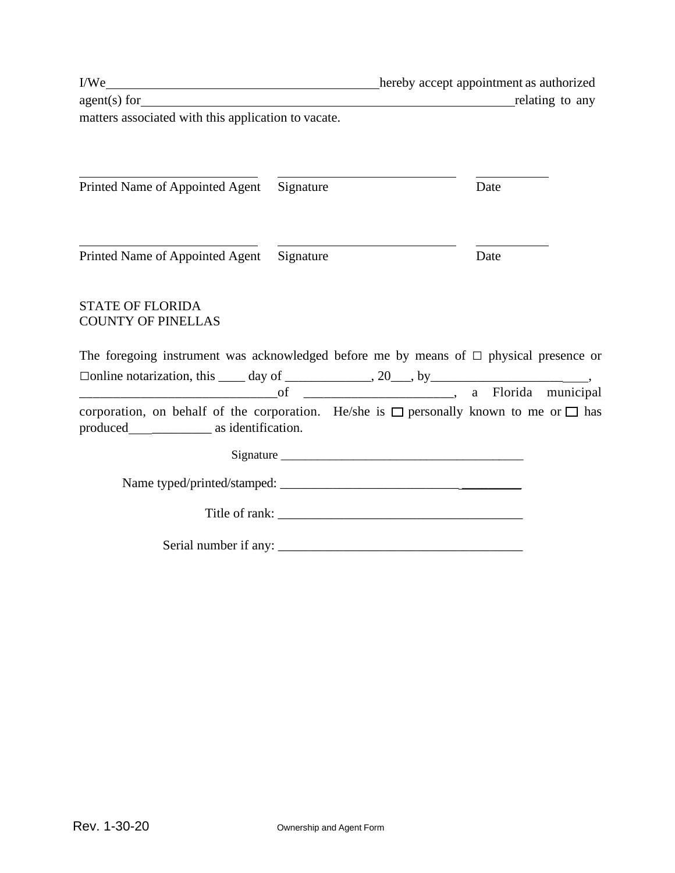| agent(s) for relating to any                                                                     |                |      |  |
|--------------------------------------------------------------------------------------------------|----------------|------|--|
| matters associated with this application to vacate.                                              |                |      |  |
| Printed Name of Appointed Agent Signature                                                        |                | Date |  |
| Printed Name of Appointed Agent                                                                  | Signature      | Date |  |
| <b>STATE OF FLORIDA</b><br><b>COUNTY OF PINELLAS</b>                                             |                |      |  |
| The foregoing instrument was acknowledged before me by means of $\Box$ physical presence or      |                |      |  |
| $\Box$ online notarization, this _____ day of _____________, 20___, by _______________________,  |                |      |  |
| corporation, on behalf of the corporation. He/she is $\Box$ personally known to me or $\Box$ has |                |      |  |
|                                                                                                  |                |      |  |
|                                                                                                  |                |      |  |
|                                                                                                  | Title of rank: |      |  |
|                                                                                                  |                |      |  |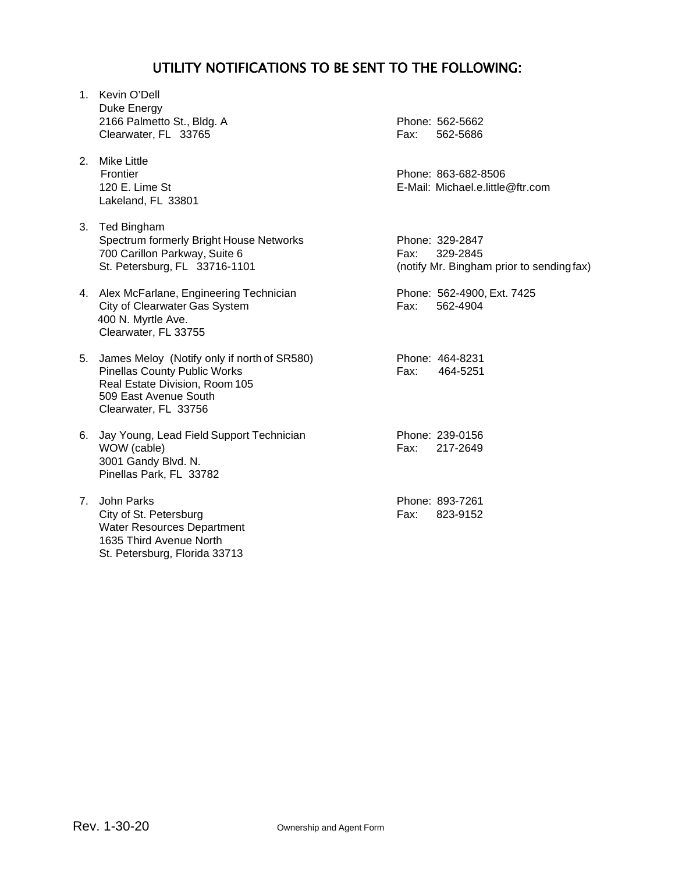### UTILITY NOTIFICATIONS TO BE SENT TO THE FOLLOWING:

- 1. Kevin O'Dell Duke Energy 2166 Palmetto St., Bldg. A Phone: 562-5662 Clearwater, FL 33765 Fax: 562-5686
- 2. Mike Little Lakeland, FL 33801
- 3. Ted Bingham Spectrum formerly Bright House Networks Phone: 329-2847 700 Carillon Parkway, Suite 6 Fax: 329-2845<br>St. Petersburg, FL 33716-1101 Fax: 6 (notify Mr. Binghai
- 4. Alex McFarlane, Engineering Technician Phone: 562-4900, Ext. 7425 City of Clearwater Gas System Fax: 562-4904 400 N. Myrtle Ave. Clearwater, FL 33755
- 5. James Meloy (Notify only if north of SR580)<br>Pinellas County Public Works Princess Pinellas County Public Works Pinellas County Public Works Real Estate Division, Room 105 509 East Avenue South Clearwater, FL 33756
- 6. Jay Young, Lead Field Support Technician Phone: 239-0156<br>WOW (cable) Fax: 217-2649 3001 Gandy Blvd. N. Pinellas Park, FL 33782
- 7. John Parks Phone: 893-7261 City of St. Petersburg Fax: 823-9152 Water Resources Department 1635 Third Avenue North St. Petersburg, Florida 33713

Phone: 863-682-8506 120 E. Lime St E-Mail: [Mich](mailto:Michael.e.little@ftr.com)[ael.e.little@ftr.com](mailto:ael.e.little@ftr.com)

(notify Mr. Bingham prior to sendingfax)

Fax: 217-2649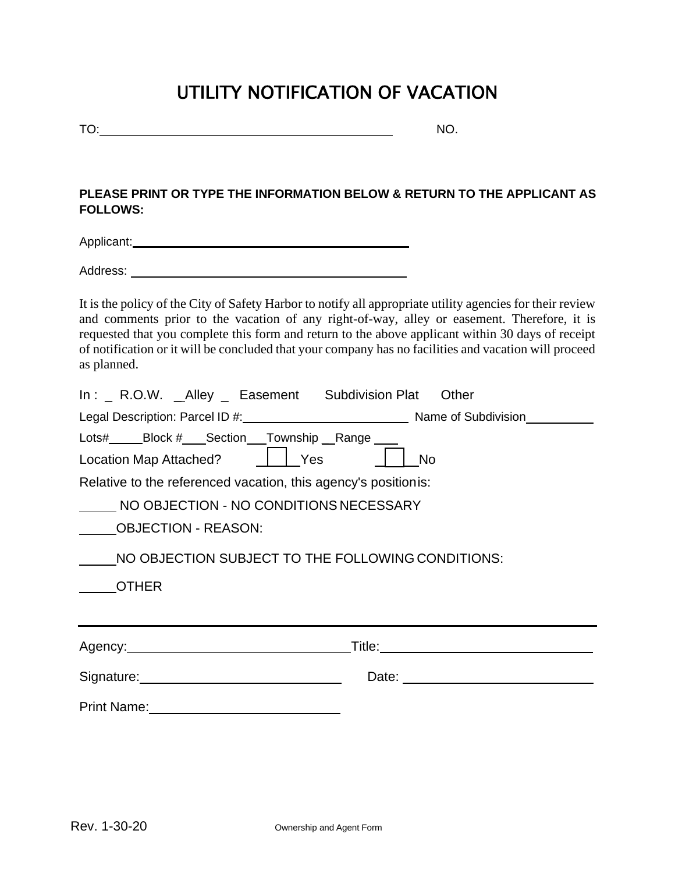# UTILITY NOTIFICATION OF VACATION

TO: NO.

#### **PLEASE PRINT OR TYPE THE INFORMATION BELOW & RETURN TO THE APPLICANT AS FOLLOWS:**

Applicant:

Address:

It is the policy of the City of Safety Harbor to notify all appropriate utility agencies for their review and comments prior to the vacation of any right-of-way, alley or easement. Therefore, it is requested that you complete this form and return to the above applicant within 30 days of receipt of notification or it will be concluded that your company has no facilities and vacation will proceed as planned.

| $In: R.O.W.$ Alley Easement Subdivision Plat Other                                                             |  |  |  |  |  |  |  |
|----------------------------------------------------------------------------------------------------------------|--|--|--|--|--|--|--|
|                                                                                                                |  |  |  |  |  |  |  |
| Lots#_______Block #_____Section____Township ___Range ____                                                      |  |  |  |  |  |  |  |
| Location Map Attached?     Yes<br><b>No</b>                                                                    |  |  |  |  |  |  |  |
| Relative to the referenced vacation, this agency's position is:                                                |  |  |  |  |  |  |  |
| NO OBJECTION - NO CONDITIONS NECESSARY                                                                         |  |  |  |  |  |  |  |
| OBJECTION - REASON:                                                                                            |  |  |  |  |  |  |  |
| NO OBJECTION SUBJECT TO THE FOLLOWING CONDITIONS:                                                              |  |  |  |  |  |  |  |
| <b>OTHER</b>                                                                                                   |  |  |  |  |  |  |  |
|                                                                                                                |  |  |  |  |  |  |  |
|                                                                                                                |  |  |  |  |  |  |  |
| Signature: <u>contained</u>                                                                                    |  |  |  |  |  |  |  |
| Print Name: Name: Name and Name and Name and Name and Name and Name and Name and Name and Name and Name and Na |  |  |  |  |  |  |  |
|                                                                                                                |  |  |  |  |  |  |  |